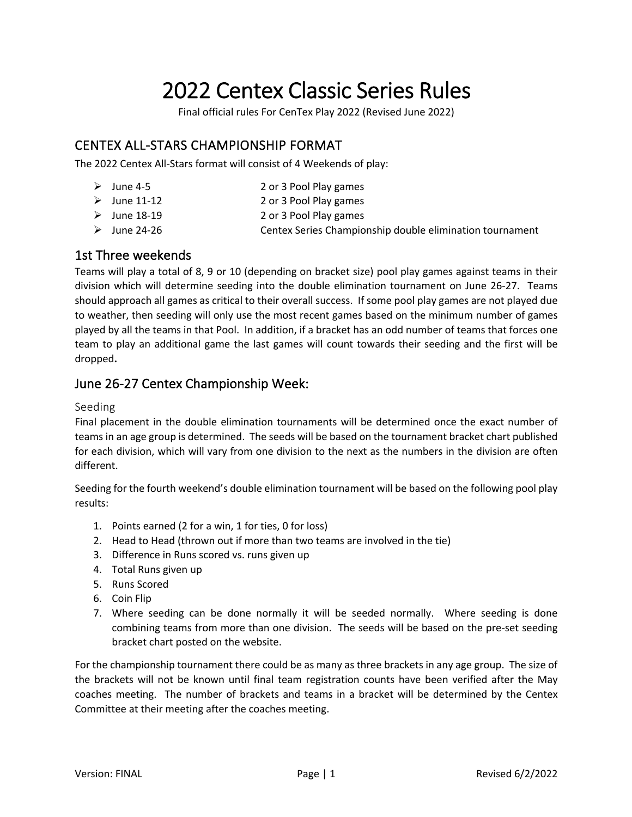# 2022 Centex Classic Series Rules

Final official rules For CenTex Play 2022 (Revised June 2022)

# CENTEX ALL-STARS CHAMPIONSHIP FORMAT

The 2022 Centex All-Stars format will consist of 4 Weekends of play:

- Ø June 4-5 2 or 3 Pool Play games
- Ø June 11-12 2 or 3 Pool Play games
- Ø June 18-19 2 or 3 Pool Play games
- 
- 
- Ø June 24-26 Centex Series Championship double elimination tournament

# 1st Three weekends

Teams will play a total of 8, 9 or 10 (depending on bracket size) pool play games against teams in their division which will determine seeding into the double elimination tournament on June 26-27. Teams should approach all games as critical to their overall success. If some pool play games are not played due to weather, then seeding will only use the most recent games based on the minimum number of games played by all the teams in that Pool. In addition, if a bracket has an odd number of teams that forces one team to play an additional game the last games will count towards their seeding and the first will be dropped**.**

# June 26-27 Centex Championship Week:

### Seeding

Final placement in the double elimination tournaments will be determined once the exact number of teams in an age group is determined. The seeds will be based on the tournament bracket chart published for each division, which will vary from one division to the next as the numbers in the division are often different.

Seeding for the fourth weekend's double elimination tournament will be based on the following pool play results:

- 1. Points earned (2 for a win, 1 for ties, 0 for loss)
- 2. Head to Head (thrown out if more than two teams are involved in the tie)
- 3. Difference in Runs scored vs. runs given up
- 4. Total Runs given up
- 5. Runs Scored
- 6. Coin Flip
- 7. Where seeding can be done normally it will be seeded normally. Where seeding is done combining teams from more than one division. The seeds will be based on the pre-set seeding bracket chart posted on the website.

For the championship tournament there could be as many as three brackets in any age group. The size of the brackets will not be known until final team registration counts have been verified after the May coaches meeting. The number of brackets and teams in a bracket will be determined by the Centex Committee at their meeting after the coaches meeting.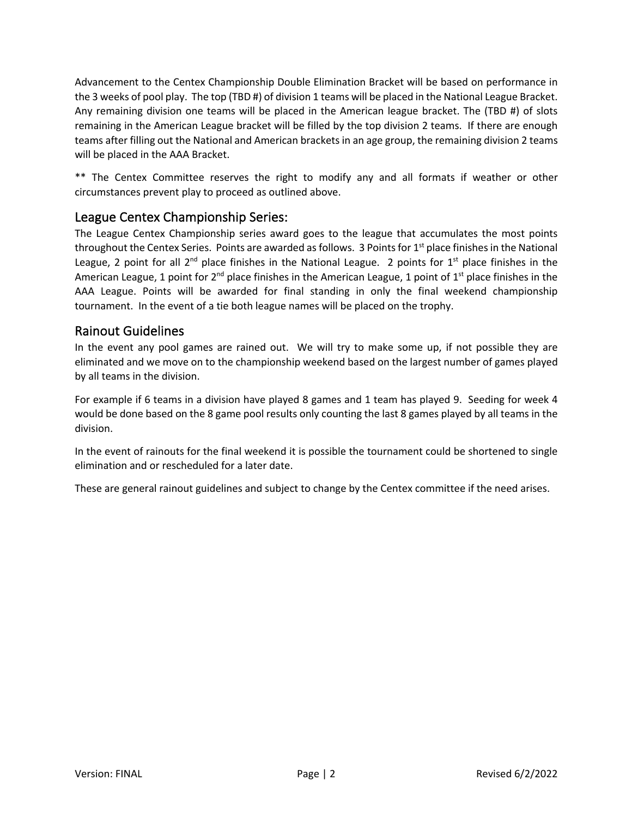Advancement to the Centex Championship Double Elimination Bracket will be based on performance in the 3 weeks of pool play. The top (TBD #) of division 1 teams will be placed in the National League Bracket. Any remaining division one teams will be placed in the American league bracket. The (TBD #) of slots remaining in the American League bracket will be filled by the top division 2 teams. If there are enough teams after filling out the National and American brackets in an age group, the remaining division 2 teams will be placed in the AAA Bracket.

\*\* The Centex Committee reserves the right to modify any and all formats if weather or other circumstances prevent play to proceed as outlined above.

# League Centex Championship Series:

The League Centex Championship series award goes to the league that accumulates the most points throughout the Centex Series. Points are awarded as follows. 3 Points for 1<sup>st</sup> place finishes in the National League, 2 point for all  $2^{nd}$  place finishes in the National League. 2 points for  $1^{st}$  place finishes in the American League, 1 point for  $2^{nd}$  place finishes in the American League, 1 point of  $1^{st}$  place finishes in the AAA League. Points will be awarded for final standing in only the final weekend championship tournament. In the event of a tie both league names will be placed on the trophy.

# Rainout Guidelines

In the event any pool games are rained out. We will try to make some up, if not possible they are eliminated and we move on to the championship weekend based on the largest number of games played by all teams in the division.

For example if 6 teams in a division have played 8 games and 1 team has played 9. Seeding for week 4 would be done based on the 8 game pool results only counting the last 8 games played by all teams in the division.

In the event of rainouts for the final weekend it is possible the tournament could be shortened to single elimination and or rescheduled for a later date.

These are general rainout guidelines and subject to change by the Centex committee if the need arises.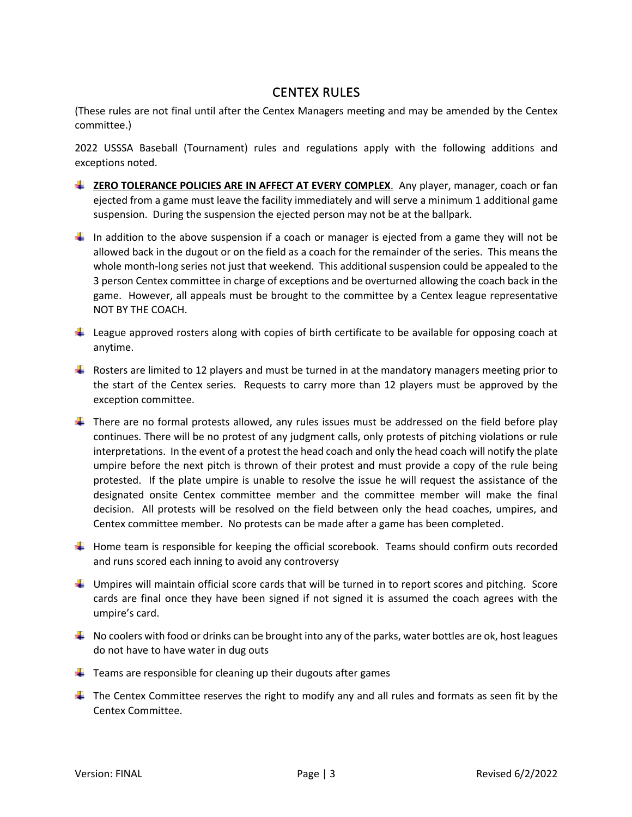# CENTEX RULES

(These rules are not final until after the Centex Managers meeting and may be amended by the Centex committee.)

2022 USSSA Baseball (Tournament) rules and regulations apply with the following additions and exceptions noted.

- **Let Transform Toler 2012 To Line Steps ARE IN AFFECT AT EVERY COMPLEX**. Any player, manager, coach or fan ejected from a game must leave the facility immediately and will serve a minimum 1 additional game suspension. During the suspension the ejected person may not be at the ballpark.
- In addition to the above suspension if a coach or manager is ejected from a game they will not be allowed back in the dugout or on the field as a coach for the remainder of the series. This means the whole month-long series not just that weekend. This additional suspension could be appealed to the 3 person Centex committee in charge of exceptions and be overturned allowing the coach back in the game. However, all appeals must be brought to the committee by a Centex league representative NOT BY THE COACH.
- $\ddot{\phantom{1}}$  League approved rosters along with copies of birth certificate to be available for opposing coach at anytime.
- **F** Rosters are limited to 12 players and must be turned in at the mandatory managers meeting prior to the start of the Centex series. Requests to carry more than 12 players must be approved by the exception committee.
- $\ddot{\phantom{1}}$  There are no formal protests allowed, any rules issues must be addressed on the field before play continues. There will be no protest of any judgment calls, only protests of pitching violations or rule interpretations. In the event of a protest the head coach and only the head coach will notify the plate umpire before the next pitch is thrown of their protest and must provide a copy of the rule being protested. If the plate umpire is unable to resolve the issue he will request the assistance of the designated onsite Centex committee member and the committee member will make the final decision. All protests will be resolved on the field between only the head coaches, umpires, and Centex committee member. No protests can be made after a game has been completed.
- $\Box$  Home team is responsible for keeping the official scorebook. Teams should confirm outs recorded and runs scored each inning to avoid any controversy
- $\ddot{\phantom{1}}$  Umpires will maintain official score cards that will be turned in to report scores and pitching. Score cards are final once they have been signed if not signed it is assumed the coach agrees with the umpire's card.
- $\Box$  No coolers with food or drinks can be brought into any of the parks, water bottles are ok, host leagues do not have to have water in dug outs
- $\frac{1}{2}$  Teams are responsible for cleaning up their dugouts after games
- $\ddot{\phantom{1}}$  The Centex Committee reserves the right to modify any and all rules and formats as seen fit by the Centex Committee.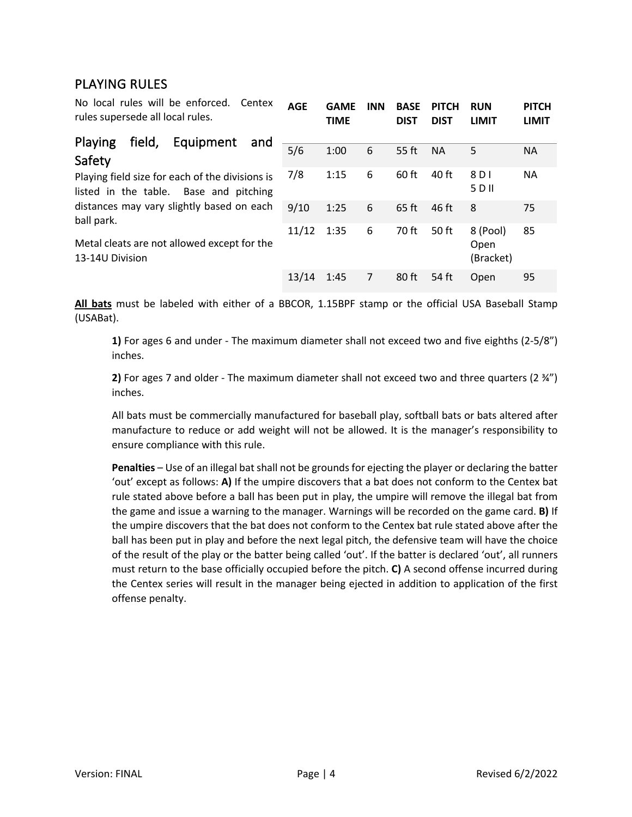# PLAYING RULES

No local rules will be enforced. Centex rules supersede all local rules. **AGE GAME INN BASE PITCH TIME DIST DIST RUN LIMIT PITCH LIMIT**

| field, Equipment and<br>Playing                                                           |       |      |   |         |           |                               |           |
|-------------------------------------------------------------------------------------------|-------|------|---|---------|-----------|-------------------------------|-----------|
| Safety                                                                                    | 5/6   | 1:00 | 6 | 55 ft   | <b>NA</b> | 5                             | <b>NA</b> |
| Playing field size for each of the divisions is<br>listed in the table. Base and pitching | 7/8   | 1:15 | 6 | $60$ ft | 40 ft     | 8 D I<br>5 D II               | <b>NA</b> |
| distances may vary slightly based on each<br>ball park.                                   | 9/10  | 1:25 | 6 | $65$ ft | 46 ft     | 8                             | 75        |
| Metal cleats are not allowed except for the<br>13-14U Division                            | 11/12 | 1:35 | 6 | 70 ft   | 50 ft     | 8 (Pool)<br>Open<br>(Bracket) | 85        |
|                                                                                           | 13/14 | 1:45 | 7 | 80 ft   | 54 ft     | Open                          | 95        |

**All bats** must be labeled with either of a BBCOR, 1.15BPF stamp or the official USA Baseball Stamp (USABat).

**1)** For ages 6 and under - The maximum diameter shall not exceed two and five eighths (2-5/8") inches.

**2)** For ages 7 and older - The maximum diameter shall not exceed two and three quarters (2 ¾") inches.

All bats must be commercially manufactured for baseball play, softball bats or bats altered after manufacture to reduce or add weight will not be allowed. It is the manager's responsibility to ensure compliance with this rule.

**Penalties** – Use of an illegal bat shall not be grounds for ejecting the player or declaring the batter 'out' except as follows: **A)** If the umpire discovers that a bat does not conform to the Centex bat rule stated above before a ball has been put in play, the umpire will remove the illegal bat from the game and issue a warning to the manager. Warnings will be recorded on the game card. **B)** If the umpire discovers that the bat does not conform to the Centex bat rule stated above after the ball has been put in play and before the next legal pitch, the defensive team will have the choice of the result of the play or the batter being called 'out'. If the batter is declared 'out', all runners must return to the base officially occupied before the pitch. **C)** A second offense incurred during the Centex series will result in the manager being ejected in addition to application of the first offense penalty.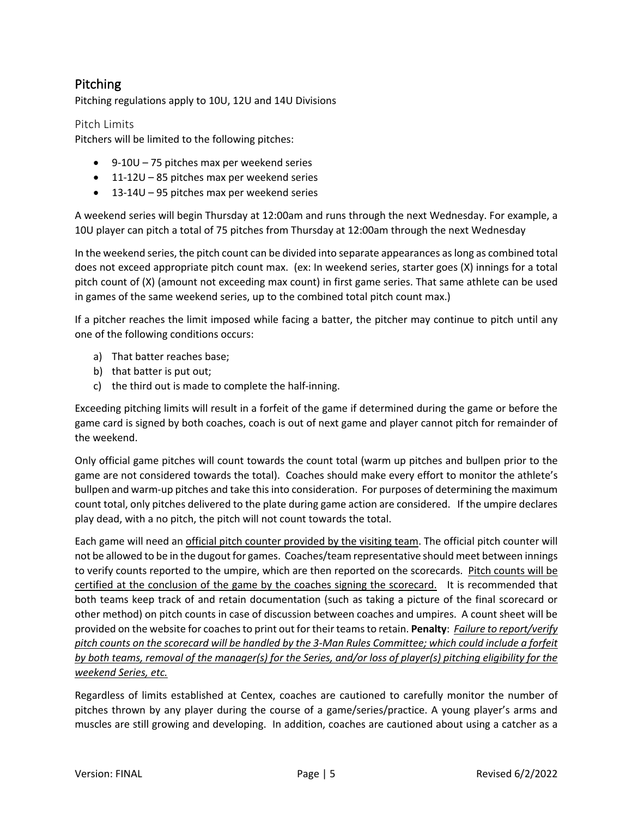# Pitching

Pitching regulations apply to 10U, 12U and 14U Divisions

Pitch Limits

Pitchers will be limited to the following pitches:

- 9-10U 75 pitches max per weekend series
- 11-12U 85 pitches max per weekend series
- 13-14U 95 pitches max per weekend series

A weekend series will begin Thursday at 12:00am and runs through the next Wednesday. For example, a 10U player can pitch a total of 75 pitches from Thursday at 12:00am through the next Wednesday

In the weekend series, the pitch count can be divided into separate appearances as long as combined total does not exceed appropriate pitch count max. (ex: In weekend series, starter goes (X) innings for a total pitch count of (X) (amount not exceeding max count) in first game series. That same athlete can be used in games of the same weekend series, up to the combined total pitch count max.)

If a pitcher reaches the limit imposed while facing a batter, the pitcher may continue to pitch until any one of the following conditions occurs:

- a) That batter reaches base;
- b) that batter is put out;
- c) the third out is made to complete the half-inning.

Exceeding pitching limits will result in a forfeit of the game if determined during the game or before the game card is signed by both coaches, coach is out of next game and player cannot pitch for remainder of the weekend.

Only official game pitches will count towards the count total (warm up pitches and bullpen prior to the game are not considered towards the total). Coaches should make every effort to monitor the athlete's bullpen and warm-up pitches and take this into consideration. For purposes of determining the maximum count total, only pitches delivered to the plate during game action are considered. If the umpire declares play dead, with a no pitch, the pitch will not count towards the total.

Each game will need an official pitch counter provided by the visiting team. The official pitch counter will not be allowed to be in the dugout for games. Coaches/team representative should meet between innings to verify counts reported to the umpire, which are then reported on the scorecards. Pitch counts will be certified at the conclusion of the game by the coaches signing the scorecard. It is recommended that both teams keep track of and retain documentation (such as taking a picture of the final scorecard or other method) on pitch counts in case of discussion between coaches and umpires. A count sheet will be provided on the website for coaches to print out for their teams to retain. **Penalty**: *Failure to report/verify pitch counts on the scorecard will be handled by the 3-Man Rules Committee; which could include a forfeit by both teams, removal of the manager(s) for the Series, and/or loss of player(s) pitching eligibility for the weekend Series, etc.* 

Regardless of limits established at Centex, coaches are cautioned to carefully monitor the number of pitches thrown by any player during the course of a game/series/practice. A young player's arms and muscles are still growing and developing. In addition, coaches are cautioned about using a catcher as a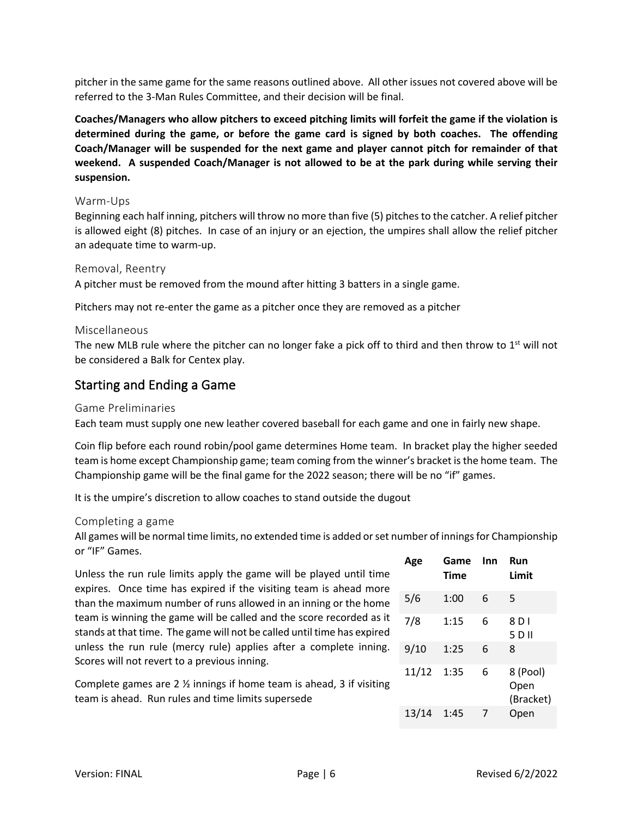pitcher in the same game for the same reasons outlined above. All other issues not covered above will be referred to the 3-Man Rules Committee, and their decision will be final.

**Coaches/Managers who allow pitchers to exceed pitching limits will forfeit the game if the violation is determined during the game, or before the game card is signed by both coaches. The offending Coach/Manager will be suspended for the next game and player cannot pitch for remainder of that weekend. A suspended Coach/Manager is not allowed to be at the park during while serving their suspension.** 

#### Warm-Ups

Beginning each half inning, pitchers will throw no more than five (5) pitches to the catcher. A relief pitcher is allowed eight (8) pitches. In case of an injury or an ejection, the umpires shall allow the relief pitcher an adequate time to warm-up.

#### Removal, Reentry

A pitcher must be removed from the mound after hitting 3 batters in a single game.

Pitchers may not re-enter the game as a pitcher once they are removed as a pitcher

#### Miscellaneous

The new MLB rule where the pitcher can no longer fake a pick off to third and then throw to  $1<sup>st</sup>$  will not be considered a Balk for Centex play.

# Starting and Ending a Game

#### Game Preliminaries

Each team must supply one new leather covered baseball for each game and one in fairly new shape.

Coin flip before each round robin/pool game determines Home team. In bracket play the higher seeded team is home except Championship game; team coming from the winner's bracket is the home team. The Championship game will be the final game for the 2022 season; there will be no "if" games.

It is the umpire's discretion to allow coaches to stand outside the dugout

#### Completing a game

All games will be normal time limits, no extended time is added or set number of innings for Championship or "IF" Games.

Unless the run rule limits apply the game will be played until time expires. Once time has expired if the visiting team is ahead more than the maximum number of runs allowed in an inning or the home team is winning the game will be called and the score recorded as it stands at that time. The game will not be called until time has expired unless the run rule (mercy rule) applies after a complete inning. Scores will not revert to a previous inning.

Complete games are 2 ½ innings if home team is ahead, 3 if visiting team is ahead. Run rules and time limits supersede

| Age   | Game<br><b>Time</b> | Inn | Run<br>Limit                  |
|-------|---------------------|-----|-------------------------------|
| 5/6   | 1:00                | 6   | 5                             |
| 7/8   | 1:15                | 6   | 8D1<br>5 D II                 |
| 9/10  | 1:25                | 6   | 8                             |
| 11/12 | 1:35                | 6   | 8 (Pool)<br>Open<br>(Bracket) |
| 13/14 | 1:45                | 7   | Open                          |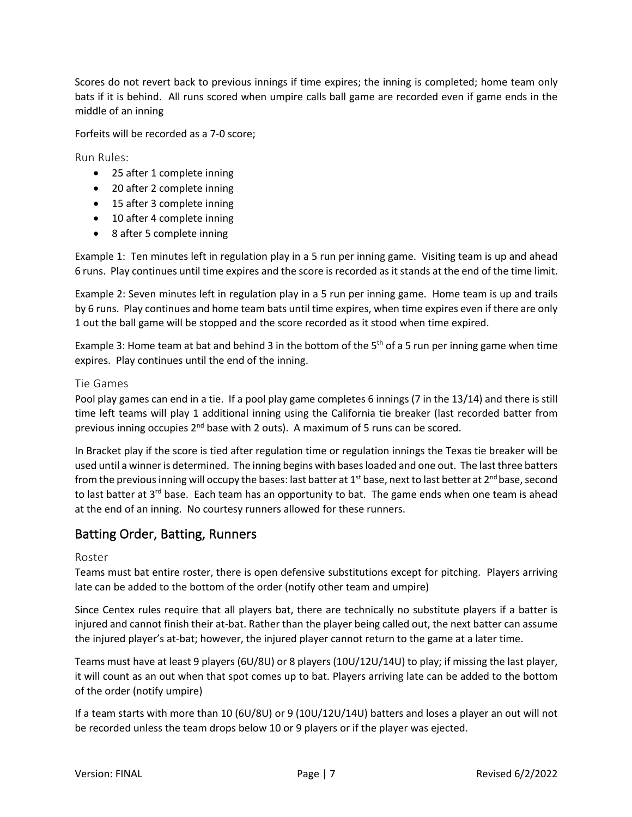Scores do not revert back to previous innings if time expires; the inning is completed; home team only bats if it is behind. All runs scored when umpire calls ball game are recorded even if game ends in the middle of an inning

Forfeits will be recorded as a 7-0 score;

Run Rules:

- 25 after 1 complete inning
- 20 after 2 complete inning
- 15 after 3 complete inning
- 10 after 4 complete inning
- 8 after 5 complete inning

Example 1: Ten minutes left in regulation play in a 5 run per inning game. Visiting team is up and ahead 6 runs. Play continues until time expires and the score is recorded as it stands at the end of the time limit.

Example 2: Seven minutes left in regulation play in a 5 run per inning game. Home team is up and trails by 6 runs. Play continues and home team bats until time expires, when time expires even if there are only 1 out the ball game will be stopped and the score recorded as it stood when time expired.

Example 3: Home team at bat and behind 3 in the bottom of the 5<sup>th</sup> of a 5 run per inning game when time expires. Play continues until the end of the inning.

#### Tie Games

Pool play games can end in a tie. If a pool play game completes 6 innings (7 in the 13/14) and there is still time left teams will play 1 additional inning using the California tie breaker (last recorded batter from previous inning occupies  $2^{nd}$  base with 2 outs). A maximum of 5 runs can be scored.

In Bracket play if the score is tied after regulation time or regulation innings the Texas tie breaker will be used until a winner is determined. The inning begins with bases loaded and one out. The last three batters from the previous inning will occupy the bases: last batter at  $1<sup>st</sup>$  base, next to last better at  $2<sup>nd</sup>$  base, second to last batter at  $3^{rd}$  base. Each team has an opportunity to bat. The game ends when one team is ahead at the end of an inning. No courtesy runners allowed for these runners.

# Batting Order, Batting, Runners

#### Roster

Teams must bat entire roster, there is open defensive substitutions except for pitching. Players arriving late can be added to the bottom of the order (notify other team and umpire)

Since Centex rules require that all players bat, there are technically no substitute players if a batter is injured and cannot finish their at-bat. Rather than the player being called out, the next batter can assume the injured player's at-bat; however, the injured player cannot return to the game at a later time.

Teams must have at least 9 players (6U/8U) or 8 players (10U/12U/14U) to play; if missing the last player, it will count as an out when that spot comes up to bat. Players arriving late can be added to the bottom of the order (notify umpire)

If a team starts with more than 10 (6U/8U) or 9 (10U/12U/14U) batters and loses a player an out will not be recorded unless the team drops below 10 or 9 players or if the player was ejected.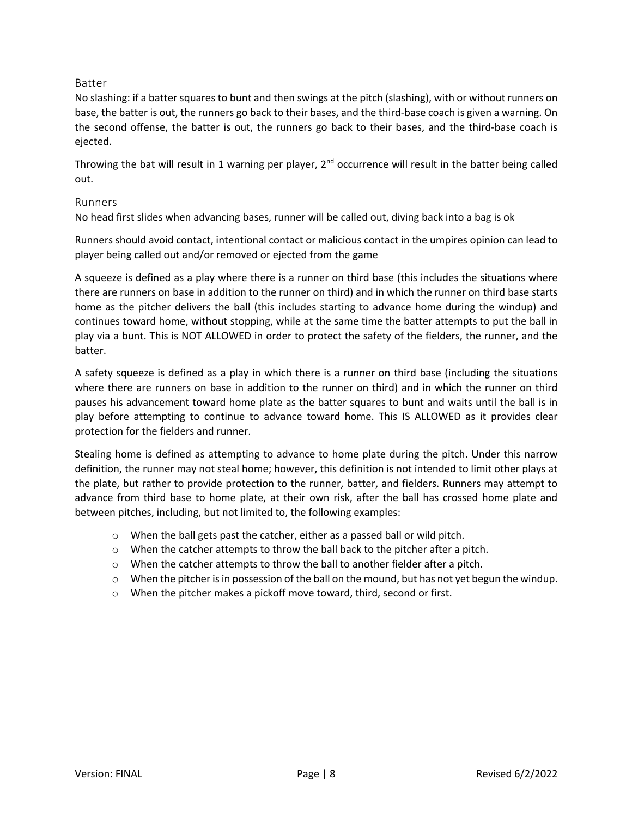### Batter

No slashing: if a batter squares to bunt and then swings at the pitch (slashing), with or without runners on base, the batter is out, the runners go back to their bases, and the third-base coach is given a warning. On the second offense, the batter is out, the runners go back to their bases, and the third-base coach is ejected.

Throwing the bat will result in 1 warning per player,  $2^{nd}$  occurrence will result in the batter being called out.

#### Runners

No head first slides when advancing bases, runner will be called out, diving back into a bag is ok

Runners should avoid contact, intentional contact or malicious contact in the umpires opinion can lead to player being called out and/or removed or ejected from the game

A squeeze is defined as a play where there is a runner on third base (this includes the situations where there are runners on base in addition to the runner on third) and in which the runner on third base starts home as the pitcher delivers the ball (this includes starting to advance home during the windup) and continues toward home, without stopping, while at the same time the batter attempts to put the ball in play via a bunt. This is NOT ALLOWED in order to protect the safety of the fielders, the runner, and the batter.

A safety squeeze is defined as a play in which there is a runner on third base (including the situations where there are runners on base in addition to the runner on third) and in which the runner on third pauses his advancement toward home plate as the batter squares to bunt and waits until the ball is in play before attempting to continue to advance toward home. This IS ALLOWED as it provides clear protection for the fielders and runner.

Stealing home is defined as attempting to advance to home plate during the pitch. Under this narrow definition, the runner may not steal home; however, this definition is not intended to limit other plays at the plate, but rather to provide protection to the runner, batter, and fielders. Runners may attempt to advance from third base to home plate, at their own risk, after the ball has crossed home plate and between pitches, including, but not limited to, the following examples:

- o When the ball gets past the catcher, either as a passed ball or wild pitch.
- o When the catcher attempts to throw the ball back to the pitcher after a pitch.
- $\circ$  When the catcher attempts to throw the ball to another fielder after a pitch.
- o When the pitcher is in possession of the ball on the mound, but has not yet begun the windup.
- o When the pitcher makes a pickoff move toward, third, second or first.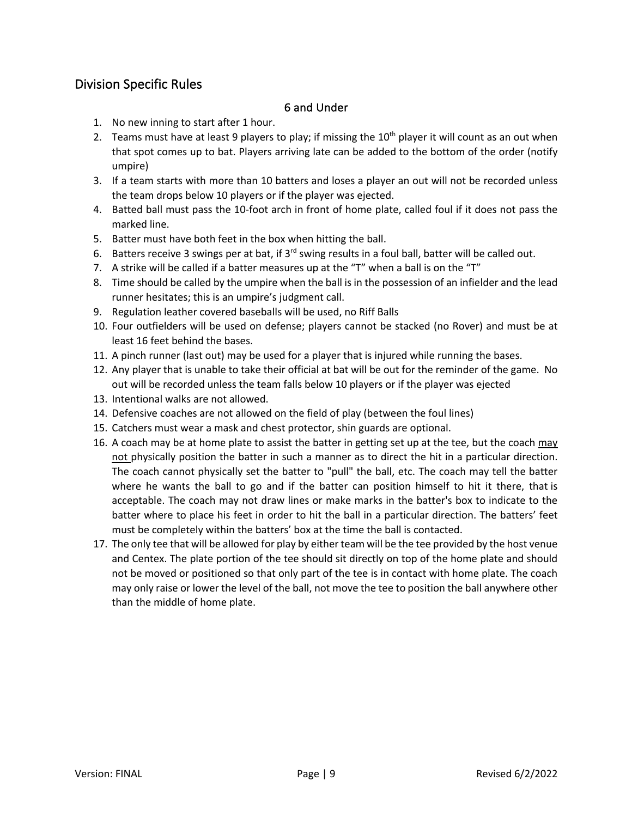# Division Specific Rules

### 6 and Under

- 1. No new inning to start after 1 hour.
- 2. Teams must have at least 9 players to play; if missing the  $10<sup>th</sup>$  player it will count as an out when that spot comes up to bat. Players arriving late can be added to the bottom of the order (notify umpire)
- 3. If a team starts with more than 10 batters and loses a player an out will not be recorded unless the team drops below 10 players or if the player was ejected.
- 4. Batted ball must pass the 10-foot arch in front of home plate, called foul if it does not pass the marked line.
- 5. Batter must have both feet in the box when hitting the ball.
- 6. Batters receive 3 swings per at bat, if  $3<sup>rd</sup>$  swing results in a foul ball, batter will be called out.
- 7. A strike will be called if a batter measures up at the "T" when a ball is on the "T"
- 8. Time should be called by the umpire when the ball is in the possession of an infielder and the lead runner hesitates; this is an umpire's judgment call.
- 9. Regulation leather covered baseballs will be used, no Riff Balls
- 10. Four outfielders will be used on defense; players cannot be stacked (no Rover) and must be at least 16 feet behind the bases.
- 11. A pinch runner (last out) may be used for a player that is injured while running the bases.
- 12. Any player that is unable to take their official at bat will be out for the reminder of the game. No out will be recorded unless the team falls below 10 players or if the player was ejected
- 13. Intentional walks are not allowed.
- 14. Defensive coaches are not allowed on the field of play (between the foul lines)
- 15. Catchers must wear a mask and chest protector, shin guards are optional.
- 16. A coach may be at home plate to assist the batter in getting set up at the tee, but the coach may not physically position the batter in such a manner as to direct the hit in a particular direction. The coach cannot physically set the batter to "pull" the ball, etc. The coach may tell the batter where he wants the ball to go and if the batter can position himself to hit it there, that is acceptable. The coach may not draw lines or make marks in the batter's box to indicate to the batter where to place his feet in order to hit the ball in a particular direction. The batters' feet must be completely within the batters' box at the time the ball is contacted.
- 17. The only tee that will be allowed for play by either team will be the tee provided by the host venue and Centex. The plate portion of the tee should sit directly on top of the home plate and should not be moved or positioned so that only part of the tee is in contact with home plate. The coach may only raise or lower the level of the ball, not move the tee to position the ball anywhere other than the middle of home plate.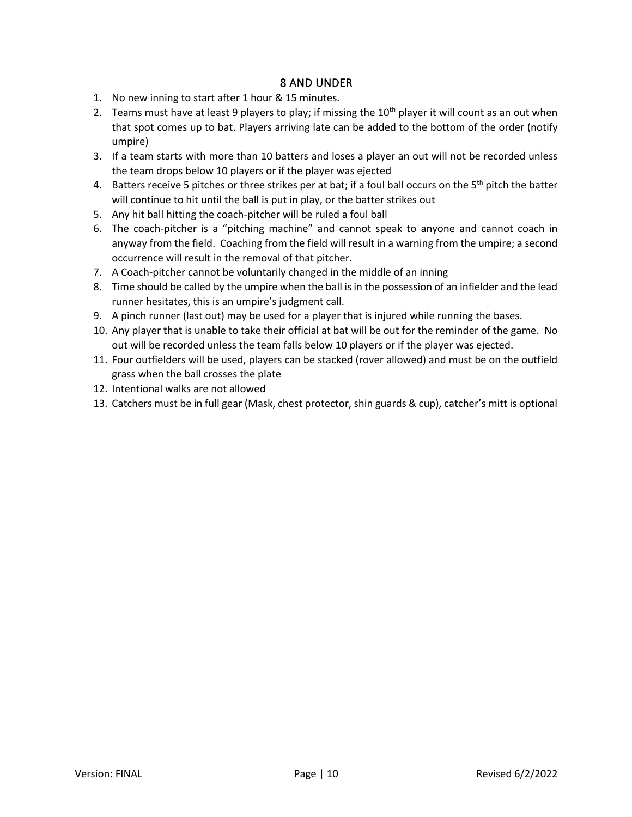- 1. No new inning to start after 1 hour & 15 minutes.
- 2. Teams must have at least 9 players to play; if missing the  $10<sup>th</sup>$  player it will count as an out when that spot comes up to bat. Players arriving late can be added to the bottom of the order (notify umpire)
- 3. If a team starts with more than 10 batters and loses a player an out will not be recorded unless the team drops below 10 players or if the player was ejected
- 4. Batters receive 5 pitches or three strikes per at bat; if a foul ball occurs on the  $5<sup>th</sup>$  pitch the batter will continue to hit until the ball is put in play, or the batter strikes out
- 5. Any hit ball hitting the coach-pitcher will be ruled a foul ball
- 6. The coach-pitcher is a "pitching machine" and cannot speak to anyone and cannot coach in anyway from the field. Coaching from the field will result in a warning from the umpire; a second occurrence will result in the removal of that pitcher.
- 7. A Coach-pitcher cannot be voluntarily changed in the middle of an inning
- 8. Time should be called by the umpire when the ball is in the possession of an infielder and the lead runner hesitates, this is an umpire's judgment call.
- 9. A pinch runner (last out) may be used for a player that is injured while running the bases.
- 10. Any player that is unable to take their official at bat will be out for the reminder of the game. No out will be recorded unless the team falls below 10 players or if the player was ejected.
- 11. Four outfielders will be used, players can be stacked (rover allowed) and must be on the outfield grass when the ball crosses the plate
- 12. Intentional walks are not allowed
- 13. Catchers must be in full gear (Mask, chest protector, shin guards & cup), catcher's mitt is optional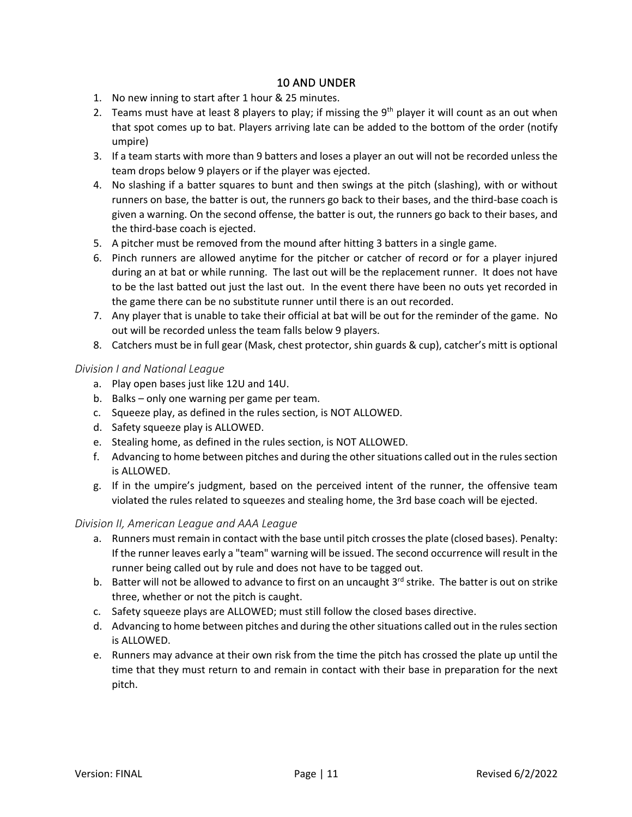- 1. No new inning to start after 1 hour & 25 minutes.
- 2. Teams must have at least 8 players to play; if missing the 9<sup>th</sup> player it will count as an out when that spot comes up to bat. Players arriving late can be added to the bottom of the order (notify umpire)
- 3. If a team starts with more than 9 batters and loses a player an out will not be recorded unless the team drops below 9 players or if the player was ejected.
- 4. No slashing if a batter squares to bunt and then swings at the pitch (slashing), with or without runners on base, the batter is out, the runners go back to their bases, and the third-base coach is given a warning. On the second offense, the batter is out, the runners go back to their bases, and the third-base coach is ejected.
- 5. A pitcher must be removed from the mound after hitting 3 batters in a single game.
- 6. Pinch runners are allowed anytime for the pitcher or catcher of record or for a player injured during an at bat or while running. The last out will be the replacement runner. It does not have to be the last batted out just the last out. In the event there have been no outs yet recorded in the game there can be no substitute runner until there is an out recorded.
- 7. Any player that is unable to take their official at bat will be out for the reminder of the game. No out will be recorded unless the team falls below 9 players.
- 8. Catchers must be in full gear (Mask, chest protector, shin guards & cup), catcher's mitt is optional

### *Division I and National League*

- a. Play open bases just like 12U and 14U.
- b. Balks only one warning per game per team.
- c. Squeeze play, as defined in the rules section, is NOT ALLOWED.
- d. Safety squeeze play is ALLOWED.
- e. Stealing home, as defined in the rules section, is NOT ALLOWED.
- f. Advancing to home between pitches and during the other situations called out in the rules section is ALLOWED.
- g. If in the umpire's judgment, based on the perceived intent of the runner, the offensive team violated the rules related to squeezes and stealing home, the 3rd base coach will be ejected.

#### *Division II, American League and AAA League*

- a. Runners must remain in contact with the base until pitch crosses the plate (closed bases). Penalty: If the runner leaves early a "team" warning will be issued. The second occurrence will result in the runner being called out by rule and does not have to be tagged out.
- b. Batter will not be allowed to advance to first on an uncaught 3<sup>rd</sup> strike. The batter is out on strike three, whether or not the pitch is caught.
- c. Safety squeeze plays are ALLOWED; must still follow the closed bases directive.
- d. Advancing to home between pitches and during the other situations called out in the rules section is ALLOWED.
- e. Runners may advance at their own risk from the time the pitch has crossed the plate up until the time that they must return to and remain in contact with their base in preparation for the next pitch.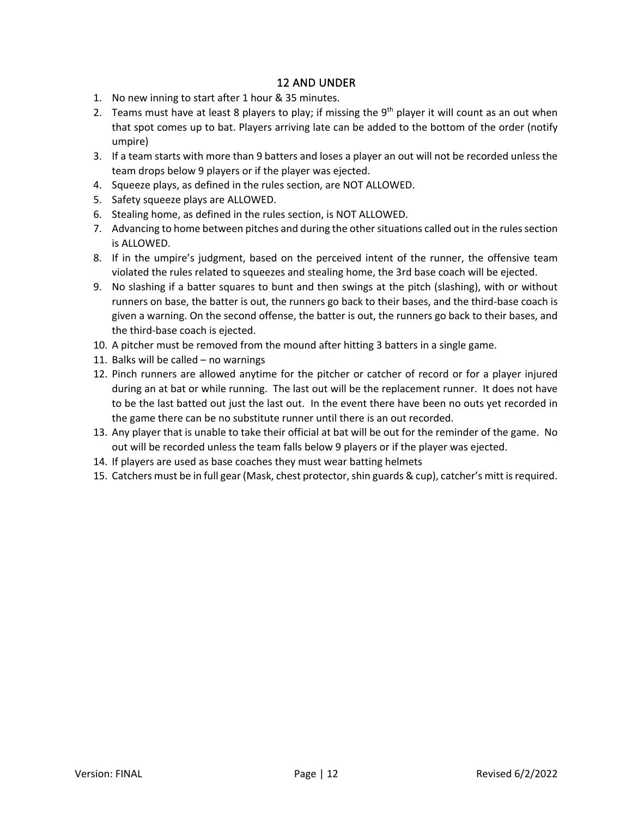- 1. No new inning to start after 1 hour & 35 minutes.
- 2. Teams must have at least 8 players to play; if missing the  $9<sup>th</sup>$  player it will count as an out when that spot comes up to bat. Players arriving late can be added to the bottom of the order (notify umpire)
- 3. If a team starts with more than 9 batters and loses a player an out will not be recorded unless the team drops below 9 players or if the player was ejected.
- 4. Squeeze plays, as defined in the rules section, are NOT ALLOWED.
- 5. Safety squeeze plays are ALLOWED.
- 6. Stealing home, as defined in the rules section, is NOT ALLOWED.
- 7. Advancing to home between pitches and during the other situations called out in the rules section is ALLOWED.
- 8. If in the umpire's judgment, based on the perceived intent of the runner, the offensive team violated the rules related to squeezes and stealing home, the 3rd base coach will be ejected.
- 9. No slashing if a batter squares to bunt and then swings at the pitch (slashing), with or without runners on base, the batter is out, the runners go back to their bases, and the third-base coach is given a warning. On the second offense, the batter is out, the runners go back to their bases, and the third-base coach is ejected.
- 10. A pitcher must be removed from the mound after hitting 3 batters in a single game.
- 11. Balks will be called no warnings
- 12. Pinch runners are allowed anytime for the pitcher or catcher of record or for a player injured during an at bat or while running. The last out will be the replacement runner. It does not have to be the last batted out just the last out. In the event there have been no outs yet recorded in the game there can be no substitute runner until there is an out recorded.
- 13. Any player that is unable to take their official at bat will be out for the reminder of the game. No out will be recorded unless the team falls below 9 players or if the player was ejected.
- 14. If players are used as base coaches they must wear batting helmets
- 15. Catchers must be in full gear (Mask, chest protector, shin guards & cup), catcher's mitt is required.